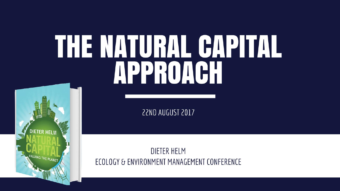# THE MATURAL GAPITAL APPROACH

22ND AUGUST 2017

**DIETER HELM** 

VALUING THE PLANET

**DIETER HELM** ECOLOGY & ENVIRONMENT MANAGEMENT CONFERENCE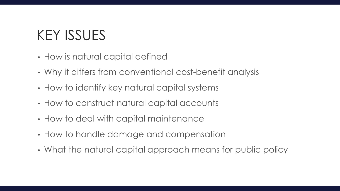# KEY ISSUES

- How is natural capital defined
- Why it differs from conventional cost-benefit analysis
- How to identify key natural capital systems
- How to construct natural capital accounts
- How to deal with capital maintenance
- How to handle damage and compensation
- What the natural capital approach means for public policy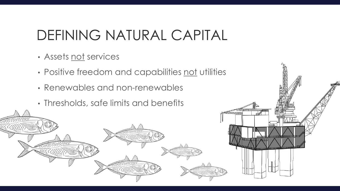### DEFINING NATURAL CAPITAL

- Assets not services
- Positive freedom and capabilities not utilities
- Renewables and non-renewables
- Thresholds, safe limits and benefits

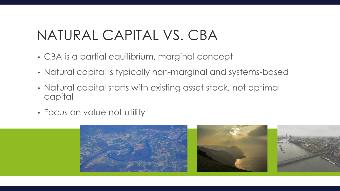### NATURAL CAPITAL VS. CBA

- CBA is a partial equilibrium, marginal concept
- Natural capital is typically non-marginal and systems-based
- Natural capital starts with existing asset stock, not optimal capital
- Focus on value not utility

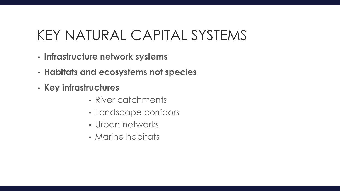### KEY NATURAL CAPITAL SYSTEMS

- **Infrastructure network systems**
- **Habitats and ecosystems not species**
- **Key infrastructures** 
	- River catchments
	- Landscape corridors
	- Urban networks
	- Marine habitats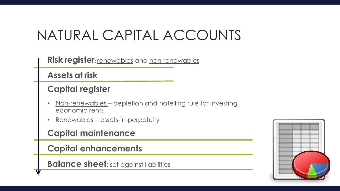### NATURAL CAPITAL ACCOUNTS

**Risk register: renewables** and **non-renewables** 

**Assets at risk**

#### **Capital register**

- Non-renewables depletion and hotelling rule for investing economic rents
- Renewables assets-in-perpetuity

**Capital maintenance**

**Capital enhancements**

**Balance sheet:** set against liabilities

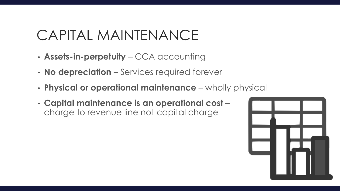### CAPITAL MAINTENANCE

- **Assets-in-perpetuity**  CCA accounting
- **No depreciation**  Services required forever
- **Physical or operational maintenance**  wholly physical
- **Capital maintenance is an operational cost**  charge to revenue line not capital charge

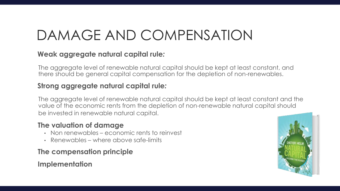# DAMAGE AND COMPENSATION

#### **Weak aggregate natural capital rule***:*

The aggregate level of renewable natural capital should be kept at least constant, and there should be general capital compensation for the depletion of non-renewables.

#### **Strong aggregate natural capital rule***:*

The aggregate level of renewable natural capital should be kept at least constant and the value of the economic rents from the depletion of non-renewable natural capital should be invested in renewable natural capital.

#### **The valuation of damage**

- Non renewables economic rents to reinvest
- Renewables where above safe-limits

#### **The compensation principle**

#### **Implementation**

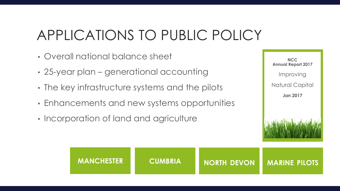### APPLICATIONS TO PUBLIC POLICY

- Overall national balance sheet
- 25-year plan generational accounting
- The key infrastructure systems and the pilots
- Enhancements and new systems opportunities
- Incorporation of land and agriculture

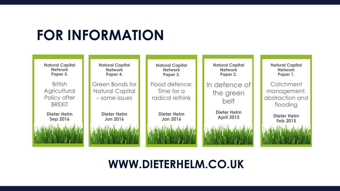### **FOR INFORMATION**



### **WWW.DIETERHELM.CO.UK**